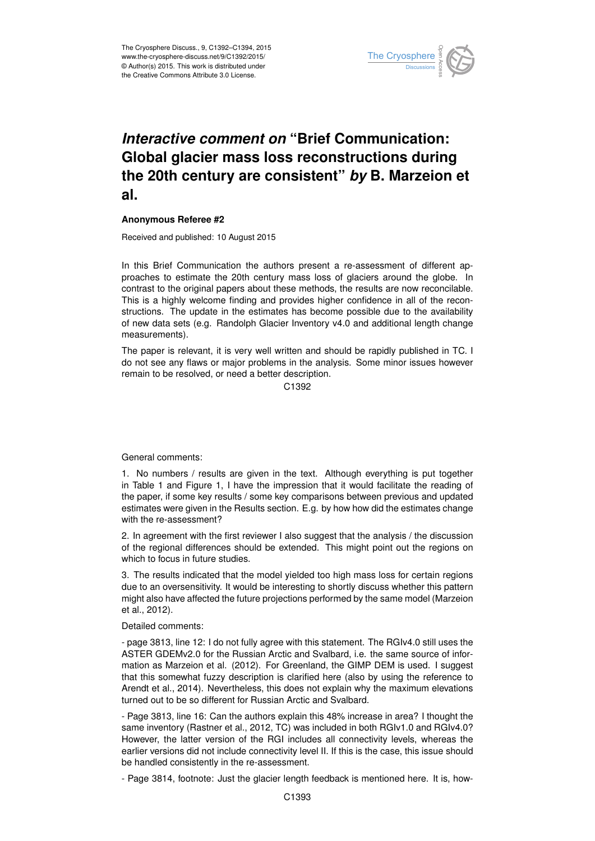

## *Interactive comment on* **"Brief Communication: Global glacier mass loss reconstructions during the 20th century are consistent"** *by* **B. Marzeion et al.**

## **Anonymous Referee #2**

Received and published: 10 August 2015

In this Brief Communication the authors present a re-assessment of different approaches to estimate the 20th century mass loss of glaciers around the globe. In contrast to the original papers about these methods, the results are now reconcilable. This is a highly welcome finding and provides higher confidence in all of the reconstructions. The update in the estimates has become possible due to the availability of new data sets (e.g. Randolph Glacier Inventory v4.0 and additional length change measurements).

The paper is relevant, it is very well written and should be rapidly published in TC. I do not see any flaws or major problems in the analysis. Some minor issues however remain to be resolved, or need a better description.

C<sub>1392</sub>

General comments:

1. No numbers / results are given in the text. Although everything is put together in Table 1 and Figure 1, I have the impression that it would facilitate the reading of the paper, if some key results / some key comparisons between previous and updated estimates were given in the Results section. E.g. by how how did the estimates change with the re-assessment?

2. In agreement with the first reviewer I also suggest that the analysis / the discussion of the regional differences should be extended. This might point out the regions on which to focus in future studies.

3. The results indicated that the model yielded too high mass loss for certain regions due to an oversensitivity. It would be interesting to shortly discuss whether this pattern might also have affected the future projections performed by the same model (Marzeion et al., 2012).

Detailed comments:

- page 3813, line 12: I do not fully agree with this statement. The RGIv4.0 still uses the ASTER GDEMv2.0 for the Russian Arctic and Svalbard, i.e. the same source of information as Marzeion et al. (2012). For Greenland, the GIMP DEM is used. I suggest that this somewhat fuzzy description is clarified here (also by using the reference to Arendt et al., 2014). Nevertheless, this does not explain why the maximum elevations turned out to be so different for Russian Arctic and Svalbard.

- Page 3813, line 16: Can the authors explain this 48% increase in area? I thought the same inventory (Rastner et al., 2012, TC) was included in both RGIv1.0 and RGIv4.0? However, the latter version of the RGI includes all connectivity levels, whereas the earlier versions did not include connectivity level II. If this is the case, this issue should be handled consistently in the re-assessment.

- Page 3814, footnote: Just the glacier length feedback is mentioned here. It is, how-